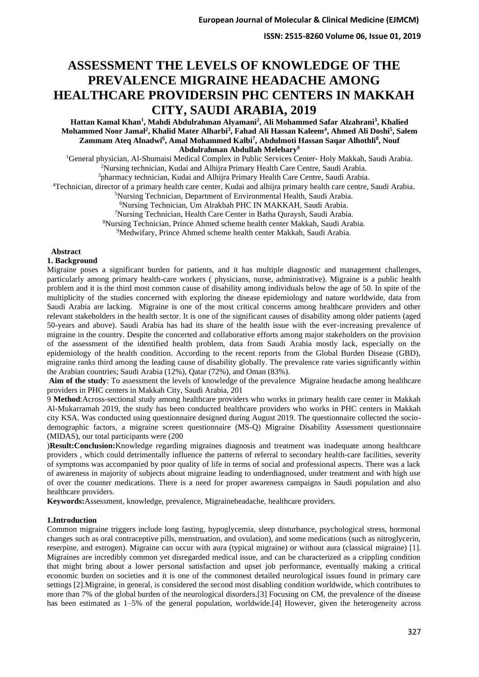# **ASSESSMENT THE LEVELS OF KNOWLEDGE OF THE PREVALENCE MIGRAINE HEADACHE AMONG HEALTHCARE PROVIDERSIN PHC CENTERS IN MAKKAH CITY, SAUDI ARABIA, 2019**

**Hattan Kamal Khan<sup>1</sup> , Mahdi Abdulrahman Alyamani<sup>2</sup> , Ali Mohammed Safar Alzahrani<sup>3</sup> , Khalied Mohammed Noor Jamal<sup>2</sup> , Khalid Mater Alharbi<sup>3</sup> , Fahad Ali Hassan Kaleem<sup>4</sup> , Ahmed Ali Doshi<sup>5</sup> , Salem Zammam Ateq Alnadwi<sup>6</sup> , Amal Mohammed Kalbi<sup>7</sup> , Abdulmoti Hassan Saqar Alhothli<sup>8</sup> , Nouf Abdulrahman Abdullah Melebary<sup>9</sup>**

<sup>1</sup>General physician, Al-Shumaisi Medical Complex in Public Services Center- Holy Makkah, Saudi Arabia. <sup>2</sup>Nursing technician, Kudai and Alhijra Primary Health Care Centre, Saudi Arabia.

<sup>3</sup>pharmacy technician, Kudai and Alhijra Primary Health Care Centre, Saudi Arabia.

<sup>4</sup>Technician, director of a primary health care center, Kudai and alhijra primary health care centre, Saudi Arabia.

<sup>5</sup>Nursing Technician, Department of Environmental Health, Saudi Arabia.

<sup>6</sup>Nursing Technician, Um Alrakhah PHC IN MAKKAH, Saudi Arabia.

<sup>7</sup>Nursing Technician, Health Care Center in Batha Quraysh, Saudi Arabia.

<sup>8</sup>Nursing Technician, Prince Ahmed scheme health center Makkah, Saudi Arabia.

<sup>9</sup>Medwifary, Prince Ahmed scheme health center Makkah, Saudi Arabia.

#### **Abstract**

### **1. Background**

Migraine poses a significant burden for patients, and it has multiple diagnostic and management challenges, particularly among primary health-care workers ( physicians, nurse, administrative). Migraine is a public health problem and it is the third most common cause of disability among individuals below the age of 50. In spite of the multiplicity of the studies concerned with exploring the disease epidemiology and nature worldwide, data from Saudi Arabia are lacking. Migraine is one of the most critical concerns among healthcare providers and other relevant stakeholders in the health sector. It is one of the significant causes of disability among older patients (aged 50-years and above). Saudi Arabia has had its share of the health issue with the ever-increasing prevalence of migraine in the country. Despite the concerted and collaborative efforts among major stakeholders on the provision of the assessment of the identified health problem, data from Saudi Arabia mostly lack, especially on the epidemiology of the health condition. According to the recent reports from the Global Burden Disease (GBD), migraine ranks third among the leading cause of disability globally. The prevalence rate varies significantly within the Arabian countries; Saudi Arabia (12%), Qatar (72%), and Oman (83%).

**Aim of the study**: To assessment the levels of knowledge of the prevalence Migraine headache among healthcare providers in PHC centers in Makkah City, Saudi Arabia, 201

9 **Method**:Across-sectional study among healthcare providers who works in primary health care center in Makkah Al-Mukarramah 2019, the study has been conducted healthcare providers who works in PHC centers in Makkah city KSA. Was conducted using questionnaire designed during August 2019. The questionnaire collected the sociodemographic factors, a migraine screen questionnaire (MS-Q) Migraine Disability Assessment questionnaire (MIDAS), our total participants were (200

)**Result:Conclusion:**Knowledge regarding migraines diagnosis and treatment was inadequate among healthcare providers , which could detrimentally influence the patterns of referral to secondary health-care facilities, severity of symptoms was accompanied by poor quality of life in terms of social and professional aspects. There was a lack of awareness in majority of subjects about migraine leading to underdiagnosed, under treatment and with high use of over the counter medications. There is a need for proper awareness campaigns in Saudi population and also healthcare providers.

**Keywords:**Assessment, knowledge, prevalence, Migraineheadache, healthcare providers.

#### **1.Introduction**

Common migraine triggers include long fasting, hypoglycemia, sleep disturbance, psychological stress, hormonal changes such as oral contraceptive pills, menstruation, and ovulation), and some medications (such as nitroglycerin, reserpine, and estrogen). Migraine can occur with aura (typical migraine) or without aura (classical migraine) [1]. Migraines are incredibly common yet disregarded medical issue, and can be characterized as a crippling condition that might bring about a lower personal satisfaction and upset job performance, eventually making a critical economic burden on societies and it is one of the commonest detailed neurological issues found in primary care settings [2].Migraine, in general, is considered the second most disabling condition worldwide, which contributes to more than 7% of the global burden of the neurological disorders.[3] Focusing on CM, the prevalence of the disease has been estimated as  $1-5%$  of the general population, worldwide.<sup>[4]</sup> However, given the heterogeneity across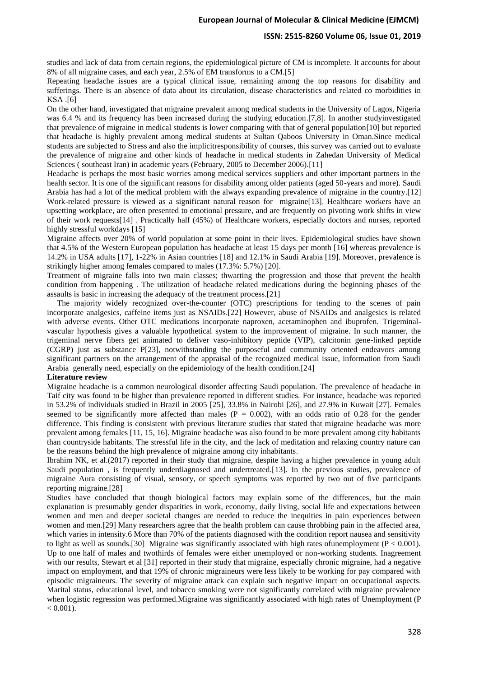### **ISSN: 2515-8260 Volume 06, Issue 01, 2019**

studies and lack of data from certain regions, the epidemiological picture of CM is incomplete. It accounts for about 8% of all migraine cases, and each year, 2.5% of EM transforms to a CM.[5]

Repeating headache issues are a typical clinical issue, remaining among the top reasons for disability and sufferings. There is an absence of data about its circulation, disease characteristics and related co morbidities in KSA .[6]

On the other hand, investigated that migraine prevalent among medical students in the University of Lagos, Nigeria was 6.4 % and its frequency has been increased during the studying education.[7,8]. In another studyinvestigated that prevalence of migraine in medical students is lower comparing with that of general population[10] but reported that headache is highly prevalent among medical students at Sultan Qaboos University in Oman.Since medical students are subjected to Stress and also the implicitresponsibility of courses, this survey was carried out to evaluate the prevalence of migraine and other kinds of headache in medical students in Zahedan University of Medical Sciences ( southeast Iran) in academic years (February, 2005 to December 2006).[11]

Headache is perhaps the most basic worries among medical services suppliers and other important partners in the health sector. It is one of the significant reasons for disability among older patients (aged 50-years and more). Saudi Arabia has had a lot of the medical problem with the always expanding prevalence of migraine in the country.[12] Work-related pressure is viewed as a significant natural reason for migraine[13]. Healthcare workers have an upsetting workplace, are often presented to emotional pressure, and are frequently on pivoting work shifts in view of their work requests[14] . Practically half (45%) of Healthcare workers, especially doctors and nurses, reported highly stressful workdays [15]

Migraine affects over 20% of world population at some point in their lives. Epidemiological studies have shown that 4.5% of the Western European population has headache at least 15 days per month [16] whereas prevalence is 14.2% in USA adults [17], 1-22% in Asian countries [18] and 12.1% in Saudi Arabia [19]. Moreover, prevalence is strikingly higher among females compared to males (17.3%: 5.7%) [20].

Treatment of migraine falls into two main classes; thwarting the progression and those that prevent the health condition from happening . The utilization of headache related medications during the beginning phases of the assaults is basic in increasing the adequacy of the treatment process.[21]

 The majority widely recognized over-the-counter (OTC) prescriptions for tending to the scenes of pain incorporate analgesics, caffeine items just as NSAIDs.[22] However, abuse of NSAIDs and analgesics is related with adverse events. Other OTC medications incorporate naproxen, acetaminophen and ibuprofen. Trigeminalvascular hypothesis gives a valuable hypothetical system to the improvement of migraine. In such manner, the trigeminal nerve fibers get animated to deliver vaso-inhibitory peptide (VIP), calcitonin gene-linked peptide (CGRP) just as substance P[23], notwithstanding the purposeful and community oriented endeavors among significant partners on the arrangement of the appraisal of the recognized medical issue, information from Saudi Arabia generally need, especially on the epidemiology of the health condition.[24]

#### **Literature review**

Migraine headache is a common neurological disorder affecting Saudi population. The prevalence of headache in Taif city was found to be higher than prevalence reported in different studies. For instance, headache was reported in 53.2% of individuals studied in Brazil in 2005 [25], 33.8% in Nairobi [26], and 27.9% in Kuwait [27]. Females seemed to be significantly more affected than males ( $P = 0.002$ ), with an odds ratio of 0.28 for the gender difference. This finding is consistent with previous literature studies that stated that migraine headache was more prevalent among females [11, 15, 16]. Migraine headache was also found to be more prevalent among city habitants than countryside habitants. The stressful life in the city, and the lack of meditation and relaxing country nature can be the reasons behind the high prevalence of migraine among city inhabitants.

Ibrahim NK, et al.(2017) reported in their study that migraine, despite having a higher prevalence in young adult Saudi population , is frequently underdiagnosed and undertreated.[13]. In the previous studies, prevalence of migraine Aura consisting of visual, sensory, or speech symptoms was reported by two out of five participants reporting migraine.[28]

Studies have concluded that though biological factors may explain some of the differences, but the main explanation is presumably gender disparities in work, economy, daily living, social life and expectations between women and men and deeper societal changes are needed to reduce the inequities in pain experiences between women and men.[29] Many researchers agree that the health problem can cause throbbing pain in the affected area, which varies in intensity.6 More than 70% of the patients diagnosed with the condition report nausea and sensitivity to light as well as sounds.[30] Migraine was significantly associated with high rates of unemployment ( $P < 0.001$ ). Up to one half of males and twothirds of females were either unemployed or non-working students. Inagreement with our results, Stewart et al [31] reported in their study that migraine, especially chronic migraine, had a negative impact on employment, and that 19% of chronic migraineurs were less likely to be working for pay compared with episodic migraineurs. The severity of migraine attack can explain such negative impact on occupational aspects. Marital status, educational level, and tobacco smoking were not significantly correlated with migraine prevalence when logistic regression was performed.Migraine was significantly associated with high rates of Unemployment (P  $< 0.001$ ).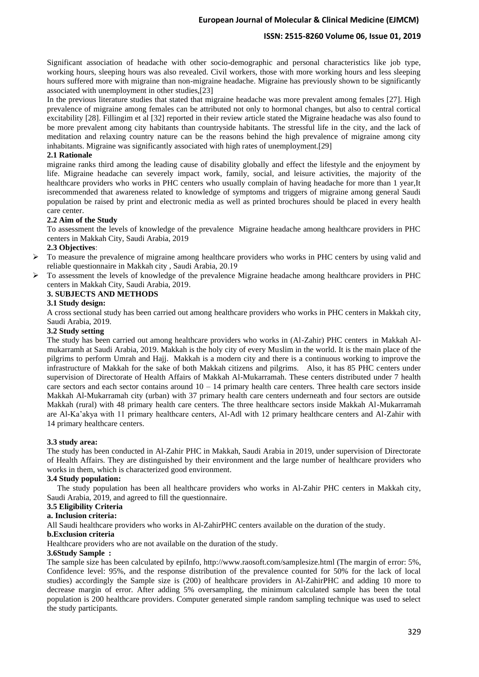# **ISSN: 2515-8260 Volume 06, Issue 01, 2019**

Significant association of headache with other socio-demographic and personal characteristics like job type, working hours, sleeping hours was also revealed. Civil workers, those with more working hours and less sleeping hours suffered more with migraine than non-migraine headache. Migraine has previously shown to be significantly associated with unemployment in other studies,[23]

In the previous literature studies that stated that migraine headache was more prevalent among females [27]. High prevalence of migraine among females can be attributed not only to hormonal changes, but also to central cortical excitability [28]. Fillingim et al [32] reported in their review article stated the Migraine headache was also found to be more prevalent among city habitants than countryside habitants. The stressful life in the city, and the lack of meditation and relaxing country nature can be the reasons behind the high prevalence of migraine among city inhabitants. Migraine was significantly associated with high rates of unemployment.[29]

### **2.1 Rationale**

migraine ranks third among the leading cause of disability globally and effect the lifestyle and the enjoyment by life. Migraine headache can severely impact work, family, social, and leisure activities, the majority of the healthcare providers who works in PHC centers who usually complain of having headache for more than 1 year,It isrecommended that awareness related to knowledge of symptoms and triggers of migraine among general Saudi population be raised by print and electronic media as well as printed brochures should be placed in every health care center.

### **2.2 Aim of the Study**

To assessment the levels of knowledge of the prevalence Migraine headache among healthcare providers in PHC centers in Makkah City, Saudi Arabia, 2019

### **2.3 Objectives**:

- ➢ To measure the prevalence of migraine among healthcare providers who works in PHC centers by using valid and reliable questionnaire in Makkah city , Saudi Arabia, 20 .19
- ➢ To assessment the levels of knowledge of the prevalence Migraine headache among healthcare providers in PHC centers in Makkah City, Saudi Arabia, 2019.

# **3. SUBJECTS AND METHODS**

# **3.1 Study design:**

A cross sectional study has been carried out among healthcare providers who works in PHC centers in Makkah city, Saudi Arabia, 2019.

### **3.2 Study setting**

The study has been carried out among healthcare providers who works in (Al-Zahir) PHC centers in Makkah Almukarramh at Saudi Arabia, 2019. Makkah is the holy city of every Muslim in the world. It is the main place of the pilgrims to perform Umrah and Hajj. Makkah is a modern city and there is a continuous working to improve the infrastructure of Makkah for the sake of both Makkah citizens and pilgrims. Also, it has 85 PHC centers under supervision of Directorate of Health Affairs of Makkah Al-Mukarramah. These centers distributed under 7 health care sectors and each sector contains around  $10 - 14$  primary health care centers. Three health care sectors inside Makkah Al-Mukarramah city (urban) with 37 primary health care centers underneath and four sectors are outside Makkah (rural) with 48 primary health care centers. The three healthcare sectors inside Makkah Al-Mukarramah are Al-Ka'akya with 11 primary healthcare centers, Al-Adl with 12 primary healthcare centers and Al-Zahir with 14 primary healthcare centers.

#### **3.3 study area :**

The study has been conducted in Al-Zahir PHC in Makkah, Saudi Arabia in 2019, under supervision of Directorate of Health Affairs. They are distinguished by their environment and the large number of healthcare providers who works in them, which is characterized good environment.

### **3.4 Study population:**

 The study population has been all healthcare providers who works in Al-Zahir PHC centers in Makkah city, Saudi Arabia, 2019, and agreed to fill the questionnaire.

# **3.5 Eligibility Criteria**

# **a. Inclusion criteria :**

All Saudi healthcare providers who works in Al-ZahirPHC centers available on the duration of the study.

### **b.Exclusion criteria**

Healthcare providers who are not available on the duration of the study.

#### **3.6Study Sample :**

The sample size has been calculated by epiInfo, http://www.raosoft.com/samplesize.html (The margin of error: 5%, Confidence level: 95%, and the response distribution of the prevalence counted for 50% for the lack of local studies) accordingly the Sample size is (200) of healthcare providers in Al-ZahirPHC and adding 10 more to decrease margin of error. After adding 5% oversampling, the minimum calculated sample has been the total population is 200 healthcare providers. Computer generated simple random sampling technique was used to select the study participants.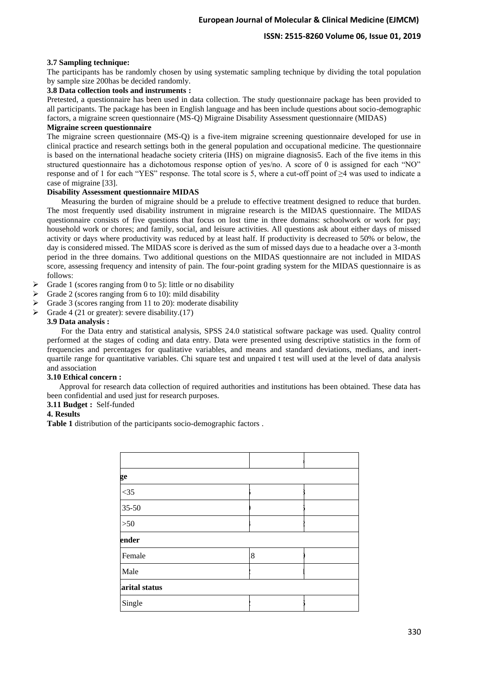# **3.7 Sampling technique:**

The participants has be randomly chosen by using systematic sampling technique by dividing the total population by sample size 200has be decided randomly.

## **3.8 Data collection tools and instruments :**

Pretested, a questionnaire has been used in data collection. The study questionnaire package has been provided to all participants. The package has been in English language and has been include questions about socio-demographic factors, a migraine screen questionnaire (MS-Q) Migraine Disability Assessment questionnaire (MIDAS)

# **Migraine screen questionnaire**

The migraine screen questionnaire (MS-Q) is a five-item migraine screening questionnaire developed for use in clinical practice and research settings both in the general population and occupational medicine. The questionnaire is based on the international headache society criteria (IHS) on migraine diagnosis5. Each of the five items in this structured questionnaire has a dichotomous response option of yes/no. A score of 0 is assigned for each "NO" response and of 1 for each "YES" response. The total score is 5, where a cut-off point of ≥4 was used to indicate a case of migraine [33].

# **Disability Assessment questionnaire MIDAS**

 Measuring the burden of migraine should be a prelude to effective treatment designed to reduce that burden. The most frequently used disability instrument in migraine research is the MIDAS questionnaire. The MIDAS questionnaire consists of five questions that focus on lost time in three domains: schoolwork or work for pay; household work or chores; and family, social, and leisure activities. All questions ask about either days of missed activity or days where productivity was reduced by at least half. If productivity is decreased to 50% or below, the day is considered missed. The MIDAS score is derived as the sum of missed days due to a headache over a 3-month period in the three domains. Two additional questions on the MIDAS questionnaire are not included in MIDAS score, assessing frequency and intensity of pain. The four-point grading system for the MIDAS questionnaire is as follows:

- $\triangleright$  Grade 1 (scores ranging from 0 to 5): little or no disability
- $\triangleright$  Grade 2 (scores ranging from 6 to 10): mild disability
- $\triangleright$  Grade 3 (scores ranging from 11 to 20): moderate disability
- $\triangleright$  Grade 4 (21 or greater): severe disability.(17)

# **3.9 Data analysis :**

 For the Data entry and statistical analysis, SPSS 24.0 statistical software package was used. Quality control performed at the stages of coding and data entry. Data were presented using descriptive statistics in the form of frequencies and percentages for qualitative variables, and means and standard deviations, medians, and inertquartile range for quantitative variables. Chi square test and unpaired t test will used at the level of data analysis and association

## **3.10 Ethical concern :**

 Approval for research data collection of required authorities and institutions has been obtained. These data has been confidential and used just for research purposes.

# **3.11 Budget :** Self-funded

## **4. Results**

**Table 1** distribution of the participants socio-demographic factors .

| ge            |   |  |  |  |  |  |
|---------------|---|--|--|--|--|--|
| $<$ 35        |   |  |  |  |  |  |
| 35-50         |   |  |  |  |  |  |
| $>50$         |   |  |  |  |  |  |
| ender         |   |  |  |  |  |  |
| Female        | 8 |  |  |  |  |  |
| Male          |   |  |  |  |  |  |
| arital status |   |  |  |  |  |  |
| Single        |   |  |  |  |  |  |
|               |   |  |  |  |  |  |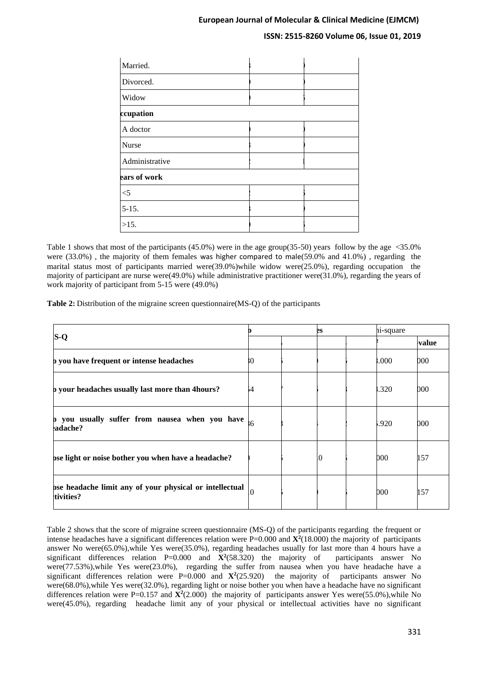# **ISSN: 2515-8260 Volume 06, Issue 01, 2019**

| Married.       |  |
|----------------|--|
| Divorced.      |  |
| Widow          |  |
| ccupation      |  |
| A doctor       |  |
| Nurse          |  |
| Administrative |  |
| ears of work   |  |
| $<$ 5          |  |
| $5 - 15.$      |  |
| $>15$ .        |  |

Table 1 shows that most of the participants (45.0%) were in the age group(35-50) years follow by the age <35.0% were (33.0%) , the majority of them females was higher compared to male(59.0% and 41.0%) , regarding the marital status most of participants married were( $39.0\%$ )while widow were $(25.0\%)$ , regarding occupation the majority of participant are nurse were(49.0%) while administrative practitioner were(31.0%), regarding the years of work majority of participant from 5-15 were (49.0%)

**Table 2:** Distribution of the migraine screen questionnaire(MS-Q) of the participants

|                                                                      |          |  | es |  | hi-square |       |
|----------------------------------------------------------------------|----------|--|----|--|-----------|-------|
| $S-Q$                                                                |          |  |    |  |           | value |
| b you have frequent or intense headaches                             | 80       |  |    |  | 000.1     | 000   |
| b your headaches usually last more than 4 hours?                     | i4       |  |    |  | .320      | 000   |
| p you usually suffer from nausea when you have<br>adache?            | 6        |  |    |  | .920      | 000   |
| bse light or noise bother you when have a headache?                  |          |  | 10 |  | 000       | 157   |
| bse headache limit any of your physical or intellectual<br>tivities? | $\Omega$ |  |    |  | 000       | 157   |

Table 2 shows that the score of migraine screen questionnaire (MS-Q) of the participants regarding the frequent or intense headaches have a significant differences relation were P=0.000 and **X<sup>2</sup>** (18.000) the majority of participants answer No were(65.0%),while Yes were(35.0%), regarding headaches usually for last more than 4 hours have a significant differences relation  $P=0.000$  and  $\mathbf{X}^2$ (58.320) the majority of participants answer No were(77.53%),while Yes were(23.0%), regarding the suffer from nausea when you have headache have a significant differences relation were  $P=0.000$  and  $\mathbf{X}^2(25.920)$  the majority of participants answer No were(68.0%),while Yes were(32.0%), regarding light or noise bother you when have a headache have no significant differences relation were P=0.157 and  $\mathbf{X}^2(2.000)$  the majority of participants answer Yes were(55.0%),while No were(45.0%), regarding headache limit any of your physical or intellectual activities have no significant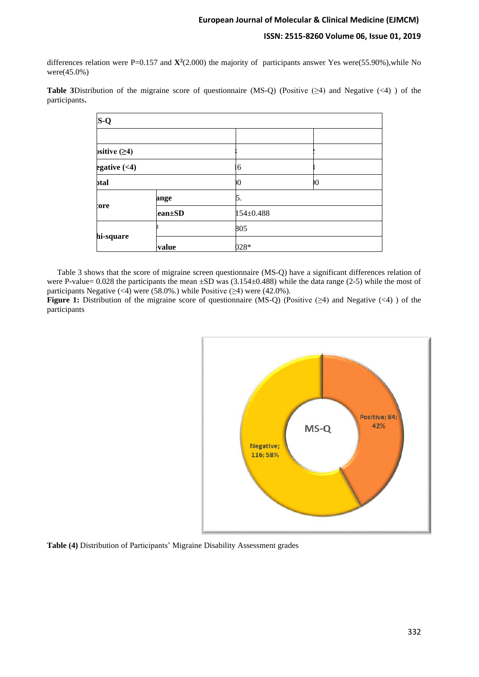differences relation were P=0.157 and  ${\bf X}^2(2.000)$  the majority of participants answer Yes were(55.90%),while No were(45.0%)

**Table 3**Distribution of the migraine score of questionnaire (MS-Q) (Positive (≥4) and Negative (<4) ) of the participants**.**

| $S-Q$          |        |           |    |  |  |  |
|----------------|--------|-----------|----|--|--|--|
|                |        |           |    |  |  |  |
| script (ge4)   |        |           |    |  |  |  |
| egative $(<1)$ |        | 6         |    |  |  |  |
| btal           |        | Ю         | 10 |  |  |  |
|                | ange   | 5.        |    |  |  |  |
| tore           | ean±SD | 154±0.488 |    |  |  |  |
| hi-square      |        | 805       |    |  |  |  |
|                | value  | 028*      |    |  |  |  |

 Table 3 shows that the score of migraine screen questionnaire (MS-Q) have a significant differences relation of were P-value= 0.028 the participants the mean  $\pm SD$  was (3.154 $\pm$ 0.488) while the data range (2-5) while the most of participants Negative (<4) were (58.0%.) while Positive  $(\geq 4)$  were (42.0%).

**Figure 1:** Distribution of the migraine score of questionnaire (MS-Q) (Positive  $(\geq 4)$  and Negative  $(\leq 4)$ ) of the participants



**Table (4)** Distribution of Participants' Migraine Disability Assessment grades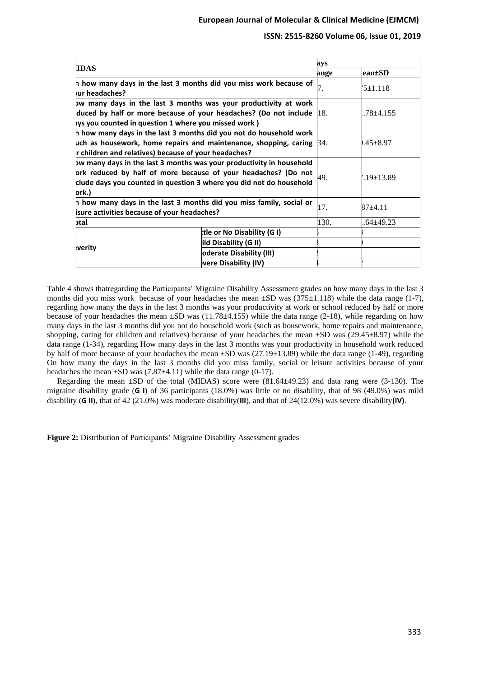| <b>IDAS</b>                                                                                                                                                                                                                                                        |                                 | ays          |               |
|--------------------------------------------------------------------------------------------------------------------------------------------------------------------------------------------------------------------------------------------------------------------|---------------------------------|--------------|---------------|
|                                                                                                                                                                                                                                                                    |                                 | ange         | lean±SD       |
| h how many days in the last 3 months did you miss work because of<br>ur headaches?                                                                                                                                                                                 | 7.                              | $15+1.118$   |               |
| bw many days in the last 3 months was your productivity at work<br>duced by half or more because of your headaches? (Do not include $ 18$ .                                                                                                                        |                                 |              | $.78 + 4.155$ |
| lys you counted in question 1 where you missed work )<br>h how many days in the last 3 months did you not do household work<br>uch as housework, home repairs and maintenance, shopping, caring $\beta$ 4.<br>r children and relatives) because of your headaches? |                                 | $.45 + 8.97$ |               |
| bw many days in the last 3 months was your productivity in household<br>prk reduced by half of more because of your headaches? (Do not<br>clude days you counted in question 3 where you did not do household<br>ork.)                                             |                                 | 49.          | $19+13.89$    |
| h how many days in the last 3 months did you miss family, social or<br><b>isure activities because of your headaches?</b>                                                                                                                                          |                                 | 17.          | 87+4.11       |
| ɔtal                                                                                                                                                                                                                                                               |                                 | 130.         | .64±49.23     |
|                                                                                                                                                                                                                                                                    | tle or No Disability (G I)      |              |               |
|                                                                                                                                                                                                                                                                    | ild Disability (G II)           |              |               |
| verity                                                                                                                                                                                                                                                             | <b>oderate Disability (III)</b> |              |               |
|                                                                                                                                                                                                                                                                    | vere Disability (IV)            |              |               |

Table 4 shows thatregarding the Participants' Migraine Disability Assessment grades on how many days in the last 3 months did you miss work because of your headaches the mean  $\pm SD$  was (375 $\pm 1.118$ ) while the data range (1-7), regarding how many the days in the last 3 months was your productivity at work or school reduced by half or more because of your headaches the mean  $\pm SD$  was (11.78 $\pm$ 4.155) while the data range (2-18), while regarding on how many days in the last 3 months did you not do household work (such as housework, home repairs and maintenance, shopping, caring for children and relatives) because of your headaches the mean  $\pm SD$  was (29.45 $\pm 8.97$ ) while the data range (1-34), regarding How many days in the last 3 months was your productivity in household work reduced by half of more because of your headaches the mean ±SD was (27.19±13.89) while the data range (1-49), regarding On how many the days in the last 3 months did you miss family, social or leisure activities because of your headaches the mean  $\pm SD$  was (7.87 $\pm$ 4.11) while the data range (0-17).

 Regarding the mean ±SD of the total (MIDAS) score were (81.64±49.23) and data rang were (3-130). The migraine disability grade (**G I**) of 36 participants (18.0%) was little or no disability, that of 98 (49.0%) was mild disability (**G II**), that of 42 (21.0%) was moderate disability(**III**), and that of 24(12.0%) was severe disability**(IV)**.

**Figure 2:** Distribution of Participants' Migraine Disability Assessment grades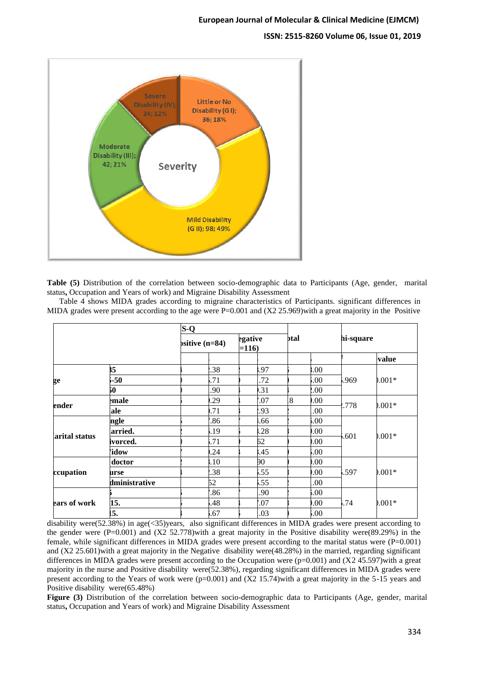

**Table (5)** Distribution of the correlation between socio-demographic data to Participants (Age, gender, marital status**,** Occupation and Years of work) and Migraine Disability Assessment

 Table 4 shows MIDA grades according to migraine characteristics of Participants. significant differences in MIDA grades were present according to the age were  $P=0.001$  and  $(X2 25.969)$  with a great majority in the Positive

|               |               | $S-Q$             |                   |                |      |       |           |  |
|---------------|---------------|-------------------|-------------------|----------------|------|-------|-----------|--|
|               |               | $pstitive (n=84)$ | egative<br>$=116$ | btal           |      |       | hi-square |  |
|               |               |                   |                   |                |      |       | value     |  |
|               | 55            | .38               | .97               |                | .00  |       |           |  |
| ge            | $-50$         | .71               | .72               |                | .00. | .969  | $0.001*$  |  |
|               | 50            | .90               | .31               |                | 00.5 |       |           |  |
|               | emale         | .29               | .07               | $\overline{8}$ | .00. | .778  | $0.001*$  |  |
| ender         | iale          | .71               | .93               |                | .00  |       |           |  |
|               | ngle          | .86               | .66               |                | 00.6 |       | $0.001*$  |  |
| arital status | arried.       | 5.19              | .28               |                | .00. | .601  |           |  |
|               | ivorced.      | .71               | 62                |                | 0.00 |       |           |  |
|               | 'idow         | .24               | .45               |                | 00.  |       |           |  |
|               | doctor        | .10               | 90                |                | 0.00 | 1.597 | $0.001*$  |  |
| ccupation     | urse          | .38               | .55               |                | .00. |       |           |  |
|               | dministrative | 52                | .55               |                | .00  |       |           |  |
| ears of work  |               | .86               | .90               |                | 00.  |       |           |  |
|               | 15.           | .48               | .07               |                | .00. | .74   | $0.001*$  |  |
|               | 15.           | .67               | .03               |                | 00.  |       |           |  |

disability were(52.38%) in age(<35)years, also significant differences in MIDA grades were present according to the gender were  $(P=0.001)$  and  $(X2 52.778)$  with a great majority in the Positive disability were  $(89.29%)$  in the female, while significant differences in MIDA grades were present according to the marital status were (P=0.001) and (X2 25.601)with a great majority in the Negative disability were(48.28%) in the married, regarding significant differences in MIDA grades were present according to the Occupation were  $(p=0.001)$  and  $(X2 45.597)$  with a great majority in the nurse and Positive disability were(52.38%), regarding significant differences in MIDA grades were present according to the Years of work were  $(p=0.001)$  and  $(X2\ 15.74)$  with a great majority in the 5-15 years and Positive disability were(65.48%)

**Figure (3)** Distribution of the correlation between socio-demographic data to Participants (Age, gender, marital status**,** Occupation and Years of work) and Migraine Disability Assessment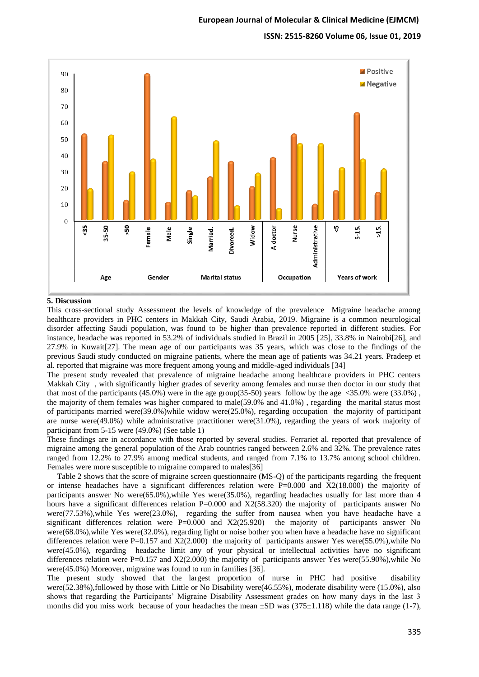

#### **5. Discussion**

This cross-sectional study Assessment the levels of knowledge of the prevalence Migraine headache among healthcare providers in PHC centers in Makkah City, Saudi Arabia, 2019. Migraine is a common neurological disorder affecting Saudi population, was found to be higher than prevalence reported in different studies. For instance, headache was reported in 53.2% of individuals studied in Brazil in 2005 [25], 33.8% in Nairobi[26], and 27.9% in Kuwait[27]. The mean age of our participants was 35 years, which was close to the findings of the previous Saudi study conducted on migraine patients, where the mean age of patients was 34.21 years. Pradeep et al. reported that migraine was more frequent among young and middle-aged individuals [34]

The present study revealed that prevalence of migraine headache among healthcare providers in PHC centers Makkah City , with significantly higher grades of severity among females and nurse then doctor in our study that that most of the participants (45.0%) were in the age group(35-50) years follow by the age <35.0% were (33.0%) , the majority of them females was higher compared to male(59.0% and 41.0%) , regarding the marital status most of participants married were(39.0%)while widow were(25.0%), regarding occupation the majority of participant are nurse were(49.0%) while administrative practitioner were(31.0%), regarding the years of work majority of participant from 5-15 were (49.0%) (See table 1)

These findings are in accordance with those reported by several studies. Ferrariet al. reported that prevalence of migraine among the general population of the Arab countries ranged between 2.6% and 32%. The prevalence rates ranged from 12.2% to 27.9% among medical students, and ranged from 7.1% to 13.7% among school children. Females were more susceptible to migraine compared to males[36]

 Table 2 shows that the score of migraine screen questionnaire (MS-Q) of the participants regarding the frequent or intense headaches have a significant differences relation were  $P=0.000$  and  $X2(18.000)$  the majority of participants answer No were(65.0%),while Yes were(35.0%), regarding headaches usually for last more than 4 hours have a significant differences relation P=0.000 and X2(58.320) the majority of participants answer No were(77.53%), while Yes were(23.0%), regarding the suffer from nausea when you have headache have a significant differences relation were  $P=0.000$  and  $X2(25.920)$  the majority of participants answer No were(68.0%),while Yes were(32.0%), regarding light or noise bother you when have a headache have no significant differences relation were P=0.157 and  $X2(2.000)$  the majority of participants answer Yes were(55.0%),while No were(45.0%), regarding headache limit any of your physical or intellectual activities have no significant differences relation were P=0.157 and X2(2.000) the majority of participants answer Yes were(55.90%),while No were(45.0%) Moreover, migraine was found to run in families [36].

The present study showed that the largest proportion of nurse in PHC had positive disability were(52.38%),followed by those with Little or No Disability were(46.55%), moderate disability were (15.0%), also shows that regarding the Participants' Migraine Disability Assessment grades on how many days in the last 3 months did you miss work because of your headaches the mean  $\pm SD$  was (375 $\pm 1.118$ ) while the data range (1-7),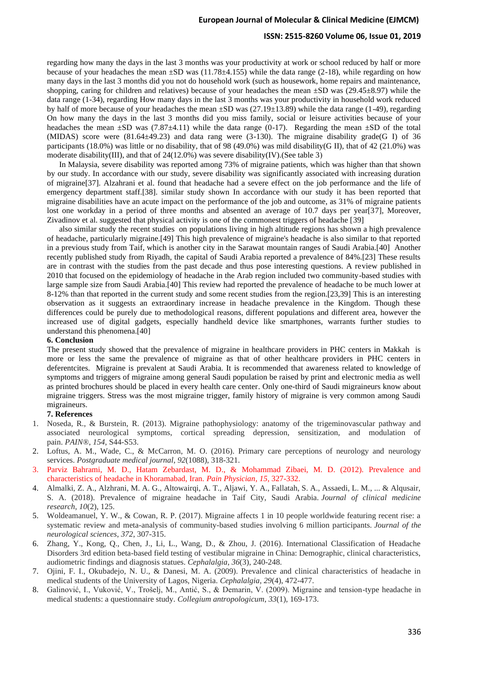### **ISSN: 2515-8260 Volume 06, Issue 01, 2019**

regarding how many the days in the last 3 months was your productivity at work or school reduced by half or more because of your headaches the mean  $\pm SD$  was (11.78 $\pm$ 4.155) while the data range (2-18), while regarding on how many days in the last 3 months did you not do household work (such as housework, home repairs and maintenance, shopping, caring for children and relatives) because of your headaches the mean ±SD was (29.45±8.97) while the data range (1-34), regarding How many days in the last 3 months was your productivity in household work reduced by half of more because of your headaches the mean ±SD was (27.19±13.89) while the data range (1-49), regarding On how many the days in the last 3 months did you miss family, social or leisure activities because of your headaches the mean  $\pm SD$  was (7.87 $\pm$ 4.11) while the data range (0-17). Regarding the mean  $\pm SD$  of the total (MIDAS) score were (81.64±49.23) and data rang were (3-130). The migraine disability grade(G I) of 36 participants (18.0%) was little or no disability, that of 98 (49.0%) was mild disability(G II), that of 42 (21.0%) was moderate disability(III), and that of  $24(12.0\%)$  was severe disability(IV).(See table 3)

 In Malaysia, severe disability was reported among 73% of migraine patients, which was higher than that shown by our study. In accordance with our study, severe disability was significantly associated with increasing duration of migraine[37]. Alzahrani et al. found that headache had a severe effect on the job performance and the life of emergency department staff.[38]. similar study shown In accordance with our study it has been reported that migraine disabilities have an acute impact on the performance of the job and outcome, as 31% of migraine patients lost one workday in a period of three months and absented an average of 10.7 days per year[37], Moreover, Zivadinov et al. suggested that physical activity is one of the commonest triggers of headache [39]

 also similar study the recent studies on populations living in high altitude regions has shown a high prevalence of headache, particularly migraine.[49] This high prevalence of migraine's headache is also similar to that reported in a previous study from Taif, which is another city in the Sarawat mountain ranges of Saudi Arabia.[40] Another recently published study from Riyadh, the capital of Saudi Arabia reported a prevalence of 84%.[23] These results are in contrast with the studies from the past decade and thus pose interesting questions. A review published in 2010 that focused on the epidemiology of headache in the Arab region included two community-based studies with large sample size from Saudi Arabia.[40] This review had reported the prevalence of headache to be much lower at 8-12% than that reported in the current study and some recent studies from the region.[23,39] This is an interesting observation as it suggests an extraordinary increase in headache prevalence in the Kingdom. Though these differences could be purely due to methodological reasons, different populations and different area, however the increased use of digital gadgets, especially handheld device like smartphones, warrants further studies to understand this phenomena.[40]

#### **6. Conclusion**

The present study showed that the prevalence of migraine in healthcare providers in PHC centers in Makkah is more or less the same the prevalence of migraine as that of other healthcare providers in PHC centers in deferentcites. Migraine is prevalent at Saudi Arabia. It is recommended that awareness related to knowledge of symptoms and triggers of migraine among general Saudi population be raised by print and electronic media as well as printed brochures should be placed in every health care center. Only one-third of Saudi migraineurs know about migraine triggers. Stress was the most migraine trigger, family history of migraine is very common among Saudi migraineurs.

#### **7. References**

- 1. Noseda, R., & Burstein, R. (2013). Migraine pathophysiology: anatomy of the trigeminovascular pathway and associated neurological symptoms, cortical spreading depression, sensitization, and modulation of pain. *PAIN®*, *154*, S44-S53.
- 2. Loftus, A. M., Wade, C., & McCarron, M. O. (2016). Primary care perceptions of neurology and neurology services. *Postgraduate medical journal*, *92*(1088), 318-321.
- 3. Parviz Bahrami, M. D., Hatam Zebardast, M. D., & Mohammad Zibaei, M. D. (2012). Prevalence and characteristics of headache in Khoramabad, Iran. *Pain Physician*, *15*, 327-332.
- 4. Almalki, Z. A., Alzhrani, M. A. G., Altowairqi, A. T., Aljawi, Y. A., Fallatah, S. A., Assaedi, L. M., ... & Alqusair, S. A. (2018). Prevalence of migraine headache in Taif City, Saudi Arabia. *Journal of clinical medicine research*, *10*(2), 125.
- 5. Woldeamanuel, Y. W., & Cowan, R. P. (2017). Migraine affects 1 in 10 people worldwide featuring recent rise: a systematic review and meta-analysis of community-based studies involving 6 million participants. *Journal of the neurological sciences*, *372*, 307-315.
- 6. Zhang, Y., Kong, Q., Chen, J., Li, L., Wang, D., & Zhou, J. (2016). International Classification of Headache Disorders 3rd edition beta-based field testing of vestibular migraine in China: Demographic, clinical characteristics, audiometric findings and diagnosis statues. *Cephalalgia*, *36*(3), 240-248.
- 7. Ojini, F. I., Okubadejo, N. U., & Danesi, M. A. (2009). Prevalence and clinical characteristics of headache in medical students of the University of Lagos, Nigeria. *Cephalalgia*, *29*(4), 472-477.
- 8. Galinović, I., Vuković, V., Trošelj, M., Antić, S., & Demarin, V. (2009). Migraine and tension-type headache in medical students: a questionnaire study. *Collegium antropologicum*, *33*(1), 169-173.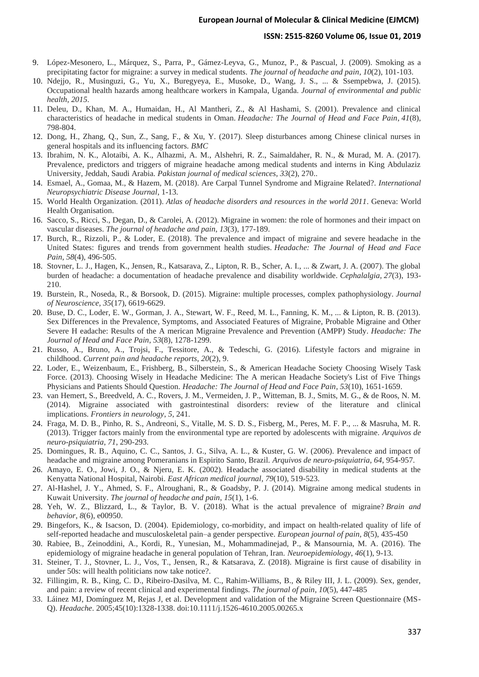### **ISSN: 2515-8260 Volume 06, Issue 01, 2019**

- 9. López-Mesonero, L., Márquez, S., Parra, P., Gámez-Leyva, G., Munoz, P., & Pascual, J. (2009). Smoking as a precipitating factor for migraine: a survey in medical students. *The journal of headache and pain*, *10*(2), 101-103.
- 10. Ndejjo, R., Musinguzi, G., Yu, X., Buregyeya, E., Musoke, D., Wang, J. S., ... & Ssempebwa, J. (2015). Occupational health hazards among healthcare workers in Kampala, Uganda. *Journal of environmental and public health*, *2015*.
- 11. Deleu, D., Khan, M. A., Humaidan, H., Al Mantheri, Z., & Al Hashami, S. (2001). Prevalence and clinical characteristics of headache in medical students in Oman. *Headache: The Journal of Head and Face Pain*, *41*(8), 798-804.
- 12. Dong, H., Zhang, Q., Sun, Z., Sang, F., & Xu, Y. (2017). Sleep disturbances among Chinese clinical nurses in general hospitals and its influencing factors. *BMC*
- 13. Ibrahim, N. K., Alotaibi, A. K., Alhazmi, A. M., Alshehri, R. Z., Saimaldaher, R. N., & Murad, M. A. (2017). Prevalence, predictors and triggers of migraine headache among medical students and interns in King Abdulaziz University, Jeddah, Saudi Arabia. *Pakistan journal of medical sciences*, *33*(2), 270..
- 14. Esmael, A., Gomaa, M., & Hazem, M. (2018). Are Carpal Tunnel Syndrome and Migraine Related?. *International Neuropsychiatric Disease Journal*, 1-13.
- 15. World Health Organization. (2011). *Atlas of headache disorders and resources in the world 2011*. Geneva: World Health Organisation.
- 16. Sacco, S., Ricci, S., Degan, D., & Carolei, A. (2012). Migraine in women: the role of hormones and their impact on vascular diseases. *The journal of headache and pain*, *13*(3), 177-189.
- 17. Burch, R., Rizzoli, P., & Loder, E. (2018). The prevalence and impact of migraine and severe headache in the United States: figures and trends from government health studies. *Headache: The Journal of Head and Face Pain*, *58*(4), 496-505.
- 18. Stovner, L. J., Hagen, K., Jensen, R., Katsarava, Z., Lipton, R. B., Scher, A. I., ... & Zwart, J. A. (2007). The global burden of headache: a documentation of headache prevalence and disability worldwide. *Cephalalgia*, *27*(3), 193- 210.
- 19. Burstein, R., Noseda, R., & Borsook, D. (2015). Migraine: multiple processes, complex pathophysiology. *Journal of Neuroscience*, *35*(17), 6619-6629.
- 20. Buse, D. C., Loder, E. W., Gorman, J. A., Stewart, W. F., Reed, M. L., Fanning, K. M., ... & Lipton, R. B. (2013). Sex Differences in the Prevalence, Symptoms, and Associated Features of Migraine, Probable Migraine and Other Severe H eadache: Results of the A merican Migraine Prevalence and Prevention (AMPP) Study. *Headache: The Journal of Head and Face Pain*, *53*(8), 1278-1299.
- 21. Russo, A., Bruno, A., Trojsi, F., Tessitore, A., & Tedeschi, G. (2016). Lifestyle factors and migraine in childhood. *Current pain and headache reports*, *20*(2), 9.
- 22. Loder, E., Weizenbaum, E., Frishberg, B., Silberstein, S., & American Headache Society Choosing Wisely Task Force. (2013). Choosing Wisely in Headache Medicine: The A merican Headache Society's List of Five Things Physicians and Patients Should Question. *Headache: The Journal of Head and Face Pain*, *53*(10), 1651-1659.
- 23. van Hemert, S., Breedveld, A. C., Rovers, J. M., Vermeiden, J. P., Witteman, B. J., Smits, M. G., & de Roos, N. M. (2014). Migraine associated with gastrointestinal disorders: review of the literature and clinical implications. *Frontiers in neurology*, *5*, 241.
- 24. Fraga, M. D. B., Pinho, R. S., Andreoni, S., Vitalle, M. S. D. S., Fisberg, M., Peres, M. F. P., ... & Masruha, M. R. (2013). Trigger factors mainly from the environmental type are reported by adolescents with migraine. *Arquivos de neuro-psiquiatria*, *71*, 290-293.
- 25. Domingues, R. B., Aquino, C. C., Santos, J. G., Silva, A. L., & Kuster, G. W. (2006). Prevalence and impact of headache and migraine among Pomeranians in Espirito Santo, Brazil. *Arquivos de neuro-psiquiatria*, *64*, 954-957.
- 26. Amayo, E. O., Jowi, J. O., & Njeru, E. K. (2002). Headache associated disability in medical students at the Kenyatta National Hospital, Nairobi. *East African medical journal*, *79*(10), 519-523.
- 27. Al-Hashel, J. Y., Ahmed, S. F., Alroughani, R., & Goadsby, P. J. (2014). Migraine among medical students in Kuwait University. *The journal of headache and pain*, *15*(1), 1-6.
- 28. Yeh, W. Z., Blizzard, L., & Taylor, B. V. (2018). What is the actual prevalence of migraine? *Brain and behavior*, *8*(6), e00950.
- 29. Bingefors, K., & Isacson, D. (2004). Epidemiology, co-morbidity, and impact on health-related quality of life of self-reported headache and musculoskeletal pain–a gender perspective. *European journal of pain*, *8*(5), 435-450
- 30. Rabiee, B., Zeinoddini, A., Kordi, R., Yunesian, M., Mohammadinejad, P., & Mansournia, M. A. (2016). The epidemiology of migraine headache in general population of Tehran, Iran. *Neuroepidemiology*, *46*(1), 9-13.
- 31. Steiner, T. J., Stovner, L. J., Vos, T., Jensen, R., & Katsarava, Z. (2018). Migraine is first cause of disability in under 50s: will health politicians now take notice?.
- 32. Fillingim, R. B., King, C. D., Ribeiro-Dasilva, M. C., Rahim-Williams, B., & Riley III, J. L. (2009). Sex, gender, and pain: a review of recent clinical and experimental findings. *The journal of pain*, *10*(5), 447-485
- 33. Láinez MJ, Domínguez M, Rejas J, et al. Development and validation of the Migraine Screen Questionnaire (MS-Q). *Headache*. 2005;45(10):1328-1338. doi:10.1111/j.1526-4610.2005.00265.x